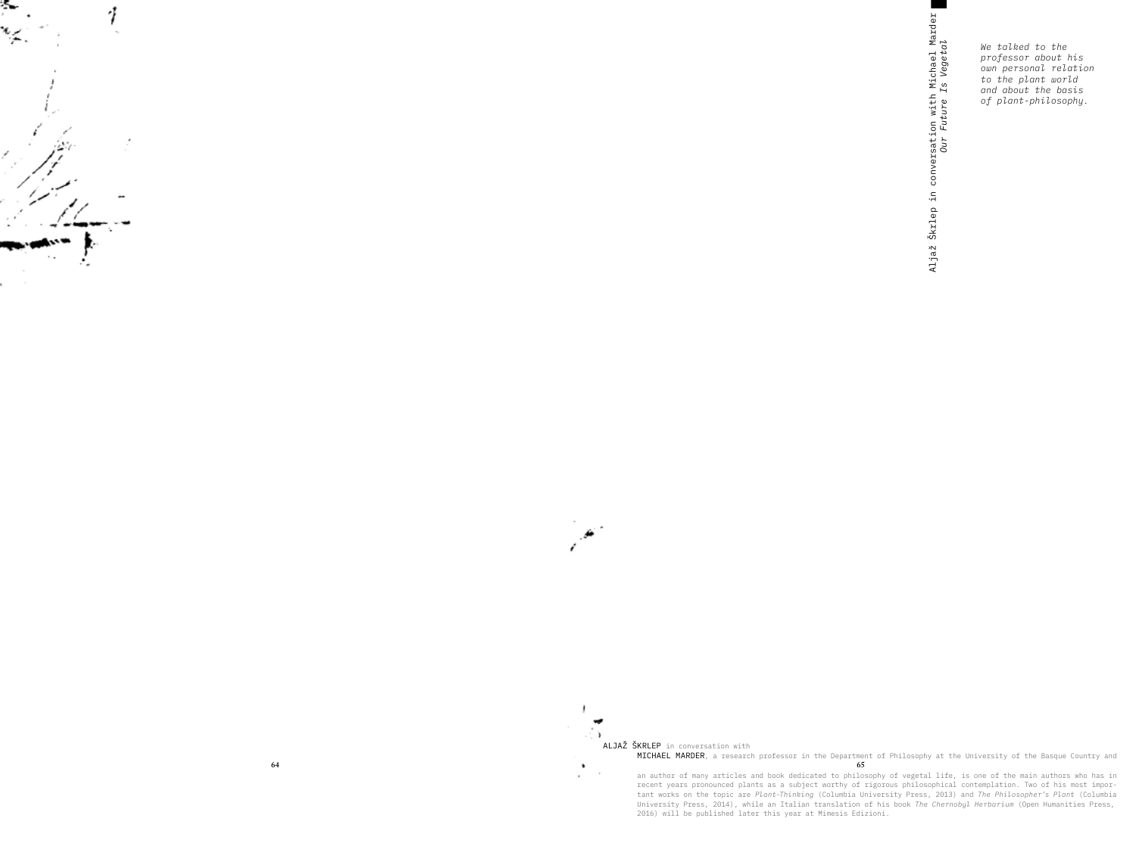

 $\lambda$ 

 $\sim$ 

 $\ddot{\phantom{1}}$ 

 $\sim$ 

ALJAŽ ŠKRLEP in conversation with MICHAEL MARDER, a research professor in the Department of Philosophy at the University of the Basque Country and  $65$ 

an author of many articles and book dedicated to philosophy of vegetal life, is one of the main authors who has in<br>recent years pronounced plants as a subject worthy of rigorous philosophical contemplation. Two of his most tant works on the topic are Plant-Thinking (Columbia University Press, 2013) and The Philosopher's Plant (Columbia University Press, 2014), while an Italian translation of his book The Chernobyl Herbarium (Open Humanities Press, 2016) will be published later this year at Mimesis Edizioni.

conversation with Michael Marder<br>Our Future Is Vegetal Škrlep in Aljaž

We talked to the professor about his own personal relation to the plant world and about the basis of plant-philosophy.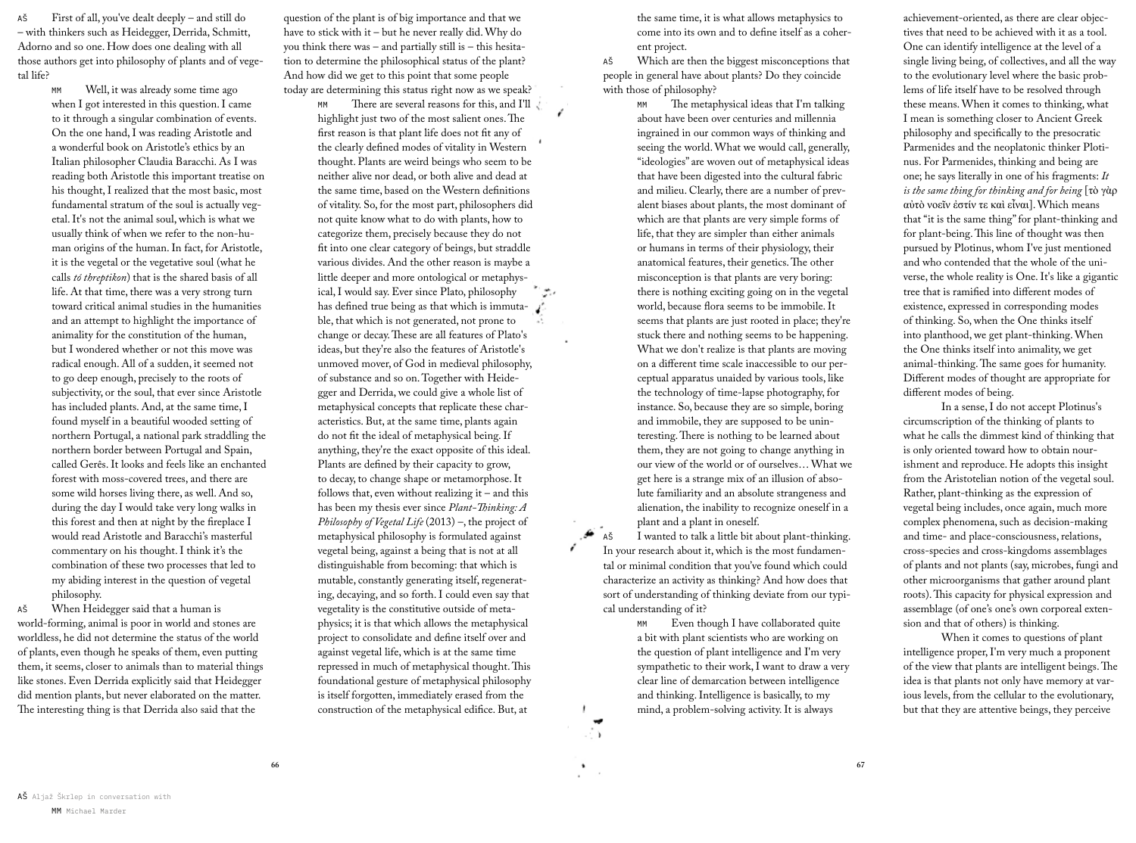First of all, you've dealt deeply – and still do AŠ - with thinkers such as Heidegger, Derrida, Schmitt, Adorno and so one. How does one dealing with all those authors get into philosophy of plants and of vegetal life?

> Well, it was already some time ago MM when I got interested in this question. I came to it through a singular combination of events. On the one hand, I was reading Aristotle and a wonderful book on Aristotle's ethics by an Italian philosopher Claudia Baracchi. As I was reading both Aristotle this important treatise on his thought, I realized that the most basic, most fundamental stratum of the soul is actually vegetal. It's not the animal soul, which is what we usually think of when we refer to the non-human origins of the human. In fact, for Aristotle, it is the vegetal or the vegetative soul (what he calls tó threptikon) that is the shared basis of all life. At that time, there was a very strong turn toward critical animal studies in the humanities and an attempt to highlight the importance of animality for the constitution of the human, but I wondered whether or not this move was radical enough. All of a sudden, it seemed not to go deep enough, precisely to the roots of subjectivity, or the soul, that ever since Aristotle has included plants. And, at the same time, I found myself in a beautiful wooded setting of northern Portugal, a national park straddling the northern border between Portugal and Spain, called Gerês. It looks and feels like an enchanted forest with moss-covered trees, and there are some wild horses living there, as well. And so, during the day I would take very long walks in this forest and then at night by the fireplace I would read Aristotle and Baracchi's masterful commentary on his thought. I think it's the combination of these two processes that led to my abiding interest in the question of vegetal philosophy.

When Heidegger said that a human is AŠ world-forming, animal is poor in world and stones are worldless, he did not determine the status of the world of plants, even though he speaks of them, even putting them, it seems, closer to animals than to material things like stones. Even Derrida explicitly said that Heidegger did mention plants, but never elaborated on the matter. The interesting thing is that Derrida also said that the

question of the plant is of big importance and that we have to stick with it - but he never really did. Why do you think there was  $-$  and partially still is  $-$  this hesitation to determine the philosophical status of the plant? And how did we get to this point that some people today are determining this status right now as we speak?

There are several reasons for this, and I'll highlight just two of the most salient ones. The first reason is that plant life does not fit any of the clearly defined modes of vitality in Western thought. Plants are weird beings who seem to be neither alive nor dead, or both alive and dead at the same time, based on the Western definitions of vitality. So, for the most part, philosophers did not quite know what to do with plants, how to categorize them, precisely because they do not fit into one clear category of beings, but straddle various divides. And the other reason is maybe a little deeper and more ontological or metaphysical, I would say. Ever since Plato, philosophy رجين has defined true being as that which is immutable, that which is not generated, not prone to change or decay. These are all features of Plato's ideas, but they're also the features of Aristotle's unmoved mover, of God in medieval philosophy, of substance and so on. Together with Heidegger and Derrida, we could give a whole list of metaphysical concepts that replicate these characteristics. But, at the same time, plants again do not fit the ideal of metaphysical being. If anything, they're the exact opposite of this ideal. Plants are defined by their capacity to grow, to decay, to change shape or metamorphose. It follows that, even without realizing it – and this has been my thesis ever since Plant-Thinking: A Philosophy of Vegetal Life  $(2013)$  –, the project of metaphysical philosophy is formulated against vegetal being, against a being that is not at all distinguishable from becoming: that which is mutable, constantly generating itself, regenerating, decaying, and so forth. I could even say that vegetality is the constitutive outside of metaphysics; it is that which allows the metaphysical project to consolidate and define itself over and against vegetal life, which is at the same time repressed in much of metaphysical thought. This foundational gesture of metaphysical philosophy is itself forgotten, immediately erased from the construction of the metaphysical edifice. But, at

the same time, it is what allows metaphysics to come into its own and to define itself as a coherent project.

Which are then the biggest misconceptions that AŠ people in general have about plants? Do they coincide with those of philosophy?

> The metaphysical ideas that I'm talking MM about have been over centuries and millennia ingrained in our common ways of thinking and seeing the world. What we would call, generally, "ideologies" are woven out of metaphysical ideas that have been digested into the cultural fabric and milieu. Clearly, there are a number of prevalent biases about plants, the most dominant of which are that plants are very simple forms of life, that they are simpler than either animals or humans in terms of their physiology, their anatomical features, their genetics. The other misconception is that plants are very boring: there is nothing exciting going on in the vegetal world, because flora seems to be immobile. It seems that plants are just rooted in place; they're stuck there and nothing seems to be happening. What we don't realize is that plants are moving on a different time scale inaccessible to our perceptual apparatus unaided by various tools, like the technology of time-lapse photography, for instance. So, because they are so simple, boring and immobile, they are supposed to be uninteresting. There is nothing to be learned about them, they are not going to change anything in our view of the world or of ourselves... What we get here is a strange mix of an illusion of absolute familiarity and an absolute strangeness and alienation, the inability to recognize oneself in a plant and a plant in oneself.

AŠ I wanted to talk a little bit about plant-thinking. In your research about it, which is the most fundamental or minimal condition that you've found which could characterize an activity as thinking? And how does that sort of understanding of thinking deviate from our typical understanding of it?

> MM Even though I have collaborated quite a bit with plant scientists who are working on the question of plant intelligence and I'm very sympathetic to their work, I want to draw a very clear line of demarcation between intelligence and thinking. Intelligence is basically, to my mind, a problem-solving activity. It is always

÷γ.

achievement-oriented, as there are clear objectives that need to be achieved with it as a tool. One can identify intelligence at the level of a single living being, of collectives, and all the way to the evolutionary level where the basic problems of life itself have to be resolved through these means. When it comes to thinking, what I mean is something closer to Ancient Greek philosophy and specifically to the presocratic Parmenides and the neoplatonic thinker Plotinus. For Parmenides, thinking and being are one; he says literally in one of his fragments: It is the same thing for thinking and for being [tò yàp αύτὸ νοεῖν ἐστίν τε καὶ εἶναι]. Which means that "it is the same thing" for plant-thinking and for plant-being. This line of thought was then pursued by Plotinus, whom I've just mentioned and who contended that the whole of the universe, the whole reality is One. It's like a gigantic tree that is ramified into different modes of existence, expressed in corresponding modes of thinking. So, when the One thinks itself into planthood, we get plant-thinking. When the One thinks itself into animality, we get animal-thinking. The same goes for humanity. Different modes of thought are appropriate for different modes of being.

In a sense, I do not accept Plotinus's circumscription of the thinking of plants to what he calls the dimmest kind of thinking that is only oriented toward how to obtain nourishment and reproduce. He adopts this insight from the Aristotelian notion of the vegetal soul. Rather, plant-thinking as the expression of vegetal being includes, once again, much more complex phenomena, such as decision-making and time- and place-consciousness, relations, cross-species and cross-kingdoms assemblages of plants and not plants (say, microbes, fungi and other microorganisms that gather around plant roots). This capacity for physical expression and assemblage (of one's one's own corporeal extension and that of others) is thinking.

When it comes to questions of plant intelligence proper, I'm very much a proponent of the view that plants are intelligent beings. The idea is that plants not only have memory at various levels, from the cellular to the evolutionary, but that they are attentive beings, they perceive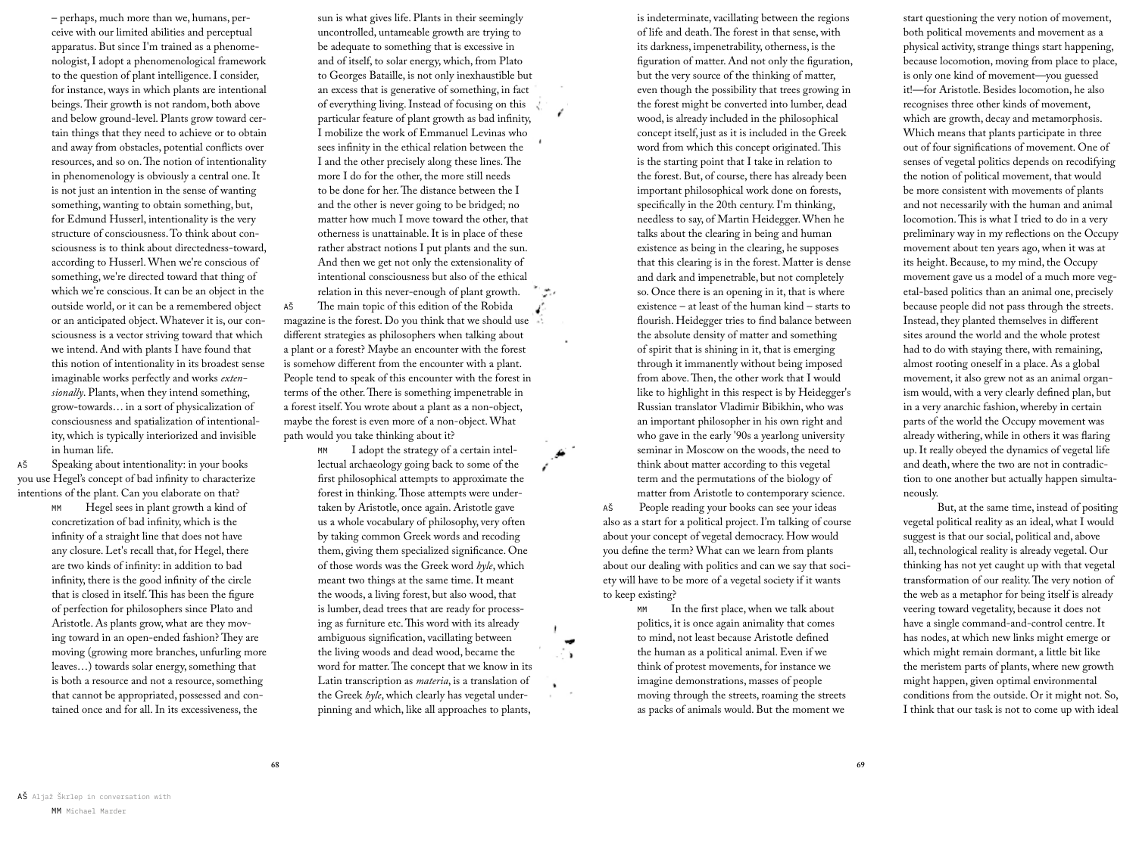- perhaps, much more than we, humans, perceive with our limited abilities and perceptual apparatus. But since I'm trained as a phenomenologist, I adopt a phenomenological framework to the question of plant intelligence. I consider, for instance, ways in which plants are intentional beings. Their growth is not random, both above and below ground-level. Plants grow toward certain things that they need to achieve or to obtain and away from obstacles, potential conflicts over resources, and so on. The notion of intentionality in phenomenology is obviously a central one. It is not just an intention in the sense of wanting something, wanting to obtain something, but, for Edmund Husserl, intentionality is the very structure of consciousness. To think about consciousness is to think about directedness-toward, according to Husserl. When we're conscious of something, we're directed toward that thing of which we're conscious. It can be an object in the outside world, or it can be a remembered object or an anticipated object. Whatever it is, our consciousness is a vector striving toward that which we intend. And with plants I have found that this notion of intentionality in its broadest sense imaginable works perfectly and works extensionally. Plants, when they intend something, grow-towards... in a sort of physicalization of consciousness and spatialization of intentionality, which is typically interiorized and invisible in human life.

Speaking about intentionality: in your books AŠ you use Hegel's concept of bad infinity to characterize intentions of the plant. Can you elaborate on that?

> Hegel sees in plant growth a kind of **MM** concretization of bad infinity, which is the infinity of a straight line that does not have any closure. Let's recall that, for Hegel, there are two kinds of infinity: in addition to bad infinity, there is the good infinity of the circle that is closed in itself. This has been the figure of perfection for philosophers since Plato and Aristotle. As plants grow, what are they moving toward in an open-ended fashion? They are moving (growing more branches, unfurling more leaves...) towards solar energy, something that is both a resource and not a resource, something that cannot be appropriated, possessed and contained once and for all. In its excessiveness, the

sun is what gives life. Plants in their seemingly uncontrolled, untameable growth are trying to be adequate to something that is excessive in and of itself, to solar energy, which, from Plato to Georges Bataille, is not only inexhaustible but an excess that is generative of something, in fact of everything living. Instead of focusing on this particular feature of plant growth as bad infinity, I mobilize the work of Emmanuel Levinas who sees infinity in the ethical relation between the I and the other precisely along these lines. The more I do for the other, the more still needs to be done for her. The distance between the I and the other is never going to be bridged; no matter how much I move toward the other, that otherness is unattainable. It is in place of these rather abstract notions I put plants and the sun. And then we get not only the extensionality of intentional consciousness but also of the ethical relation in this never-enough of plant growth. ويتق

The main topic of this edition of the Robida AŠ í. magazine is the forest. Do you think that we should use -: different strategies as philosophers when talking about a plant or a forest? Maybe an encounter with the forest is somehow different from the encounter with a plant. People tend to speak of this encounter with the forest in terms of the other. There is something impenetrable in a forest itself. You wrote about a plant as a non-object, maybe the forest is even more of a non-object. What path would you take thinking about it?

> I adopt the strategy of a certain intel-MM lectual archaeology going back to some of the first philosophical attempts to approximate the forest in thinking. Those attempts were undertaken by Aristotle, once again. Aristotle gave us a whole vocabulary of philosophy, very often by taking common Greek words and recoding them, giving them specialized significance. One of those words was the Greek word byle, which meant two things at the same time. It meant the woods, a living forest, but also wood, that is lumber, dead trees that are ready for processing as furniture etc. This word with its already ambiguous signification, vacillating between the living woods and dead wood, became the word for matter. The concept that we know in its Latin transcription as *materia*, is a translation of the Greek hyle, which clearly has vegetal underpinning and which, like all approaches to plants,

Ō.

is indeterminate, vacillating between the regions of life and death. The forest in that sense, with its darkness, impenetrability, otherness, is the figuration of matter. And not only the figuration, but the very source of the thinking of matter, even though the possibility that trees growing in the forest might be converted into lumber, dead wood, is already included in the philosophical concept itself, just as it is included in the Greek word from which this concept originated. This is the starting point that I take in relation to the forest. But, of course, there has already been important philosophical work done on forests, specifically in the 20th century. I'm thinking, needless to say, of Martin Heidegger. When he talks about the clearing in being and human existence as being in the clearing, he supposes that this clearing is in the forest. Matter is dense and dark and impenetrable, but not completely so. Once there is an opening in it, that is where existence – at least of the human kind – starts to flourish. Heidegger tries to find balance between the absolute density of matter and something of spirit that is shining in it, that is emerging through it immanently without being imposed from above. Then, the other work that I would like to highlight in this respect is by Heidegger's Russian translator Vladimir Bibikhin, who was an important philosopher in his own right and who gave in the early '90s a yearlong university seminar in Moscow on the woods, the need to think about matter according to this vegetal term and the permutations of the biology of matter from Aristotle to contemporary science.

AŠ People reading your books can see your ideas also as a start for a political project. I'm talking of course about your concept of vegetal democracy. How would you define the term? What can we learn from plants about our dealing with politics and can we say that society will have to be more of a vegetal society if it wants to keep existing?

> In the first place, when we talk about politics, it is once again animality that comes to mind, not least because Aristotle defined the human as a political animal. Even if we think of protest movements, for instance we imagine demonstrations, masses of people moving through the streets, roaming the streets as packs of animals would. But the moment we

start questioning the very notion of movement, both political movements and movement as a physical activity, strange things start happening, because locomotion, moving from place to place, is only one kind of movement-you guessed it!-for Aristotle. Besides locomotion, he also recognises three other kinds of movement, which are growth, decay and metamorphosis. Which means that plants participate in three out of four significations of movement. One of senses of vegetal politics depends on recodifying the notion of political movement, that would be more consistent with movements of plants and not necessarily with the human and animal locomotion. This is what I tried to do in a very preliminary way in my reflections on the Occupy movement about ten years ago, when it was at its height. Because, to my mind, the Occupy movement gave us a model of a much more vegetal-based politics than an animal one, precisely because people did not pass through the streets. Instead, they planted themselves in different sites around the world and the whole protest had to do with staying there, with remaining, almost rooting oneself in a place. As a global movement, it also grew not as an animal organism would, with a very clearly defined plan, but in a very anarchic fashion, whereby in certain parts of the world the Occupy movement was already withering, while in others it was flaring up. It really obeyed the dynamics of vegetal life and death, where the two are not in contradiction to one another but actually happen simultaneously.

But, at the same time, instead of positing vegetal political reality as an ideal, what I would suggest is that our social, political and, above all, technological reality is already vegetal. Our thinking has not yet caught up with that vegetal transformation of our reality. The very notion of the web as a metaphor for being itself is already veering toward vegetality, because it does not have a single command-and-control centre. It has nodes, at which new links might emerge or which might remain dormant, a little bit like the meristem parts of plants, where new growth might happen, given optimal environmental conditions from the outside. Or it might not. So, I think that our task is not to come up with ideal